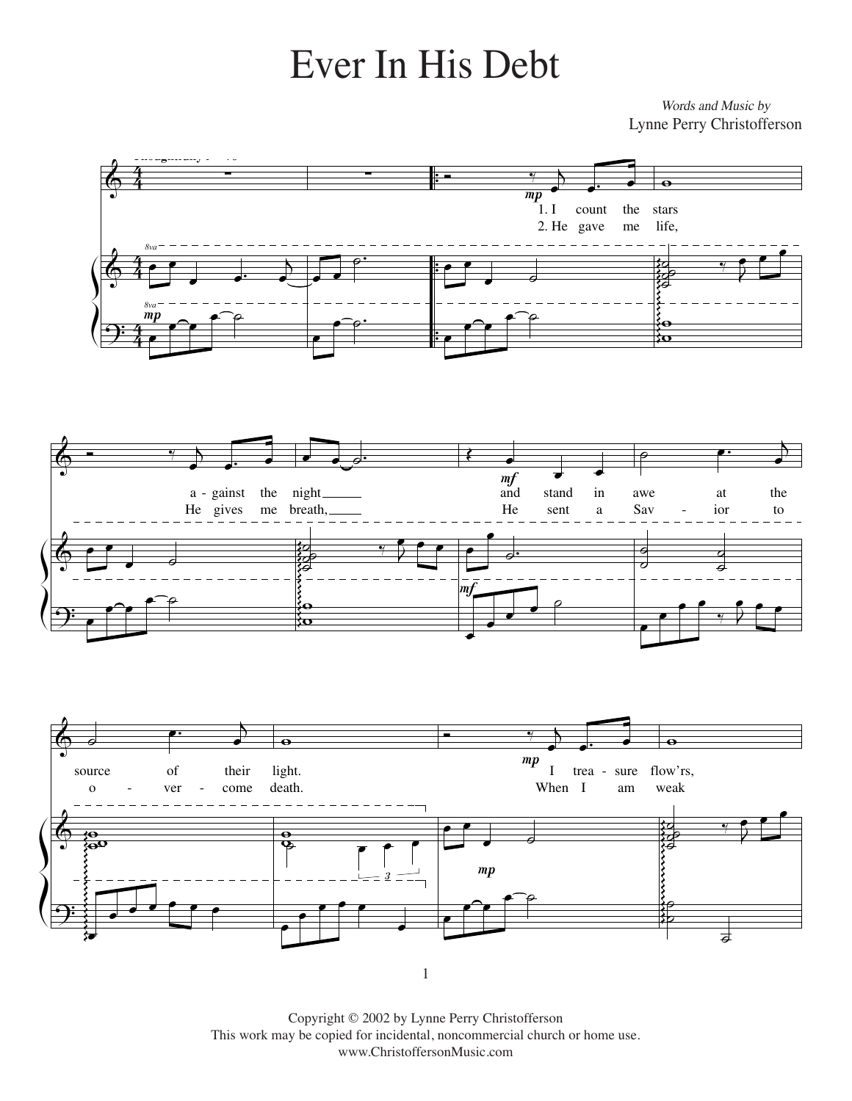## Ever in His Debt Ever In His Debt

*Music by* Words and Music by Lynne Perry Christofferson Lynne Perry Christofferson

 $\frac{\rho}{\rho}$ 

ş g

˙





Copyright © 2002 by Lynne Perry Christofferson This work may be copied for incidental, noncommercial church or home use. www.ChristoffersonMusic.com

1

œ

œ

 $\overline{\mathcal{Y}}$ 

œ

Ş Ş Ş g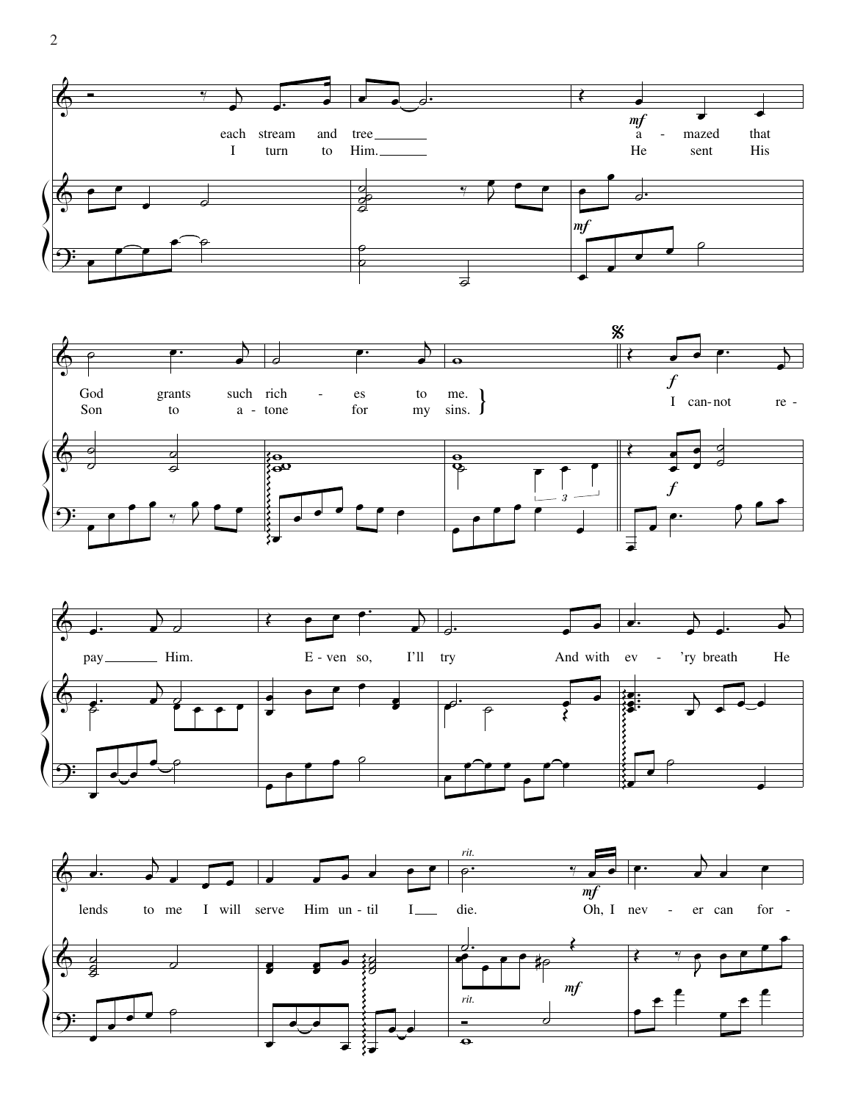